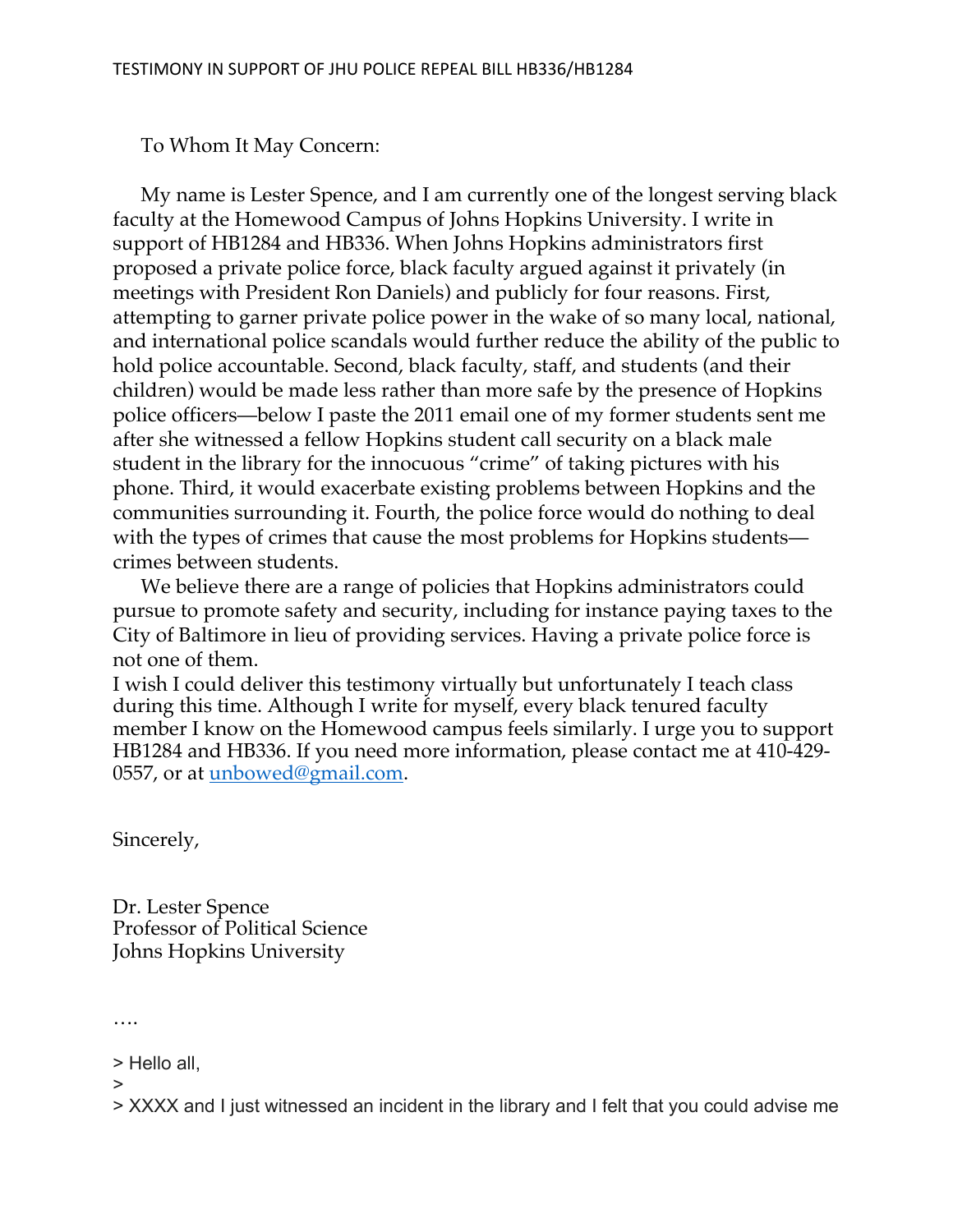To Whom It May Concern:

My name is Lester Spence, and I am currently one of the longest serving black faculty at the Homewood Campus of Johns Hopkins University. I write in support of HB1284 and HB336. When Johns Hopkins administrators first proposed a private police force, black faculty argued against it privately (in meetings with President Ron Daniels) and publicly for four reasons. First, attempting to garner private police power in the wake of so many local, national, and international police scandals would further reduce the ability of the public to hold police accountable. Second, black faculty, staff, and students (and their children) would be made less rather than more safe by the presence of Hopkins police officers—below I paste the 2011 email one of my former students sent me after she witnessed a fellow Hopkins student call security on a black male student in the library for the innocuous "crime" of taking pictures with his phone. Third, it would exacerbate existing problems between Hopkins and the communities surrounding it. Fourth, the police force would do nothing to deal with the types of crimes that cause the most problems for Hopkins students crimes between students.

We believe there are a range of policies that Hopkins administrators could pursue to promote safety and security, including for instance paying taxes to the City of Baltimore in lieu of providing services. Having a private police force is not one of them.

I wish I could deliver this testimony virtually but unfortunately I teach class during this time. Although I write for myself, every black tenured faculty member I know on the Homewood campus feels similarly. I urge you to support HB1284 and HB336. If you need more information, please contact me at 410-429- 0557, or at unbowed@gmail.com.

Sincerely,

Dr. Lester Spence Professor of Political Science Johns Hopkins University

….

> Hello all,

>

> XXXX and I just witnessed an incident in the library and I felt that you could advise me